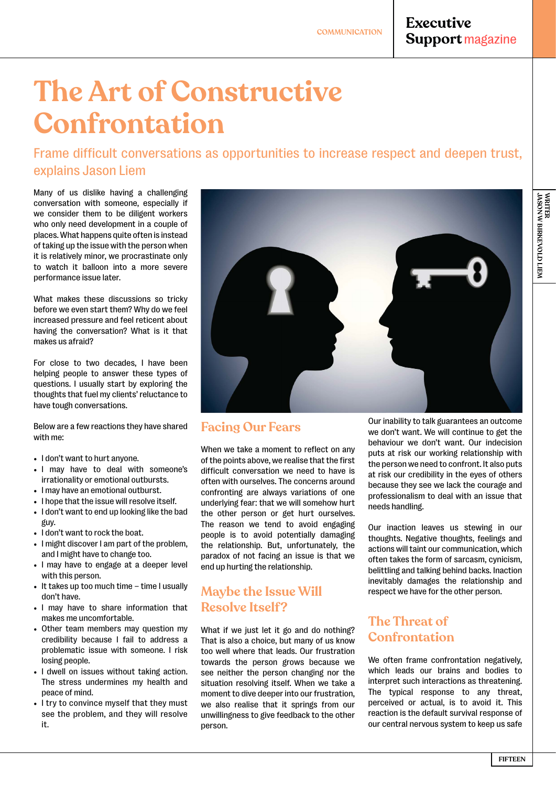## **Executive Support magazine**

# **The Art of Constructive Confrontation**

Frame difficult conversations as opportunities to increase respect and deepen trust, explains Jason Liem

Many of us dislike having a challenging conversation with someone, especially if we consider them to be diligent workers who only need development in a couple of places. What happens quite often is instead of taking up the issue with the person when it is relatively minor, we procrastinate only to watch it balloon into a more severe performance issue later.

What makes these discussions so tricky before we even start them? Why do we feel increased pressure and feel reticent about having the conversation? What is it that makes us afraid?

For close to two decades, I have been helping people to answer these types of questions. I usually start by exploring the thoughts that fuel my clients' reluctance to have tough conversations.

Below are a few reactions they have shared with me:

- I don't want to hurt anyone.
- I may have to deal with someone's irrationality or emotional outbursts.
- I may have an emotional outburst.
- I hope that the issue will resolve itself.
- I don't want to end up looking like the bad guy.
- I don't want to rock the boat.
- I might discover I am part of the problem, and I might have to change too.
- I may have to engage at a deeper level with this person.
- It takes up too much time time I usually don't have.
- I may have to share information that makes me uncomfortable.
- Other team members may question my credibility because I fail to address a problematic issue with someone. I risk losing people.
- I dwell on issues without taking action. The stress undermines my health and peace of mind.
- I try to convince myself that they must see the problem, and they will resolve it.



#### **Facing Our Fears**

When we take a moment to reflect on any of the points above, we realise that the first difficult conversation we need to have is often with ourselves. The concerns around confronting are always variations of one underlying fear: that we will somehow hurt the other person or get hurt ourselves. The reason we tend to avoid engaging people is to avoid potentially damaging the relationship. But, unfortunately, the paradox of not facing an issue is that we end up hurting the relationship.

#### **Maybe the Issue Will Resolve Itself?**

What if we just let it go and do nothing? That is also a choice, but many of us know too well where that leads. Our frustration towards the person grows because we see neither the person changing nor the situation resolving itself. When we take a moment to dive deeper into our frustration, we also realise that it springs from our unwillingness to give feedback to the other person.

Our inability to talk guarantees an outcome we don't want. We will continue to get the behaviour we don't want. Our indecision puts at risk our working relationship with the person we need to confront. It also puts at risk our credibility in the eyes of others because they see we lack the courage and professionalism to deal with an issue that needs handling.

Our inaction leaves us stewing in our thoughts. Negative thoughts, feelings and actions will taint our communication, which often takes the form of sarcasm, cynicism, belittling and talking behind backs. Inaction inevitably damages the relationship and respect we have for the other person.

### **The Threat of Confrontation**

We often frame confrontation negatively, which leads our brains and bodies to interpret such interactions as threatening. The typical response to any threat, perceived or actual, is to avoid it. This reaction is the default survival response of our central nervous system to keep us safe

**JASON W BIRKEVOLD LIEM**

WRITER<br>JASON W BIRKEVOLD LIEM

**WRITER**